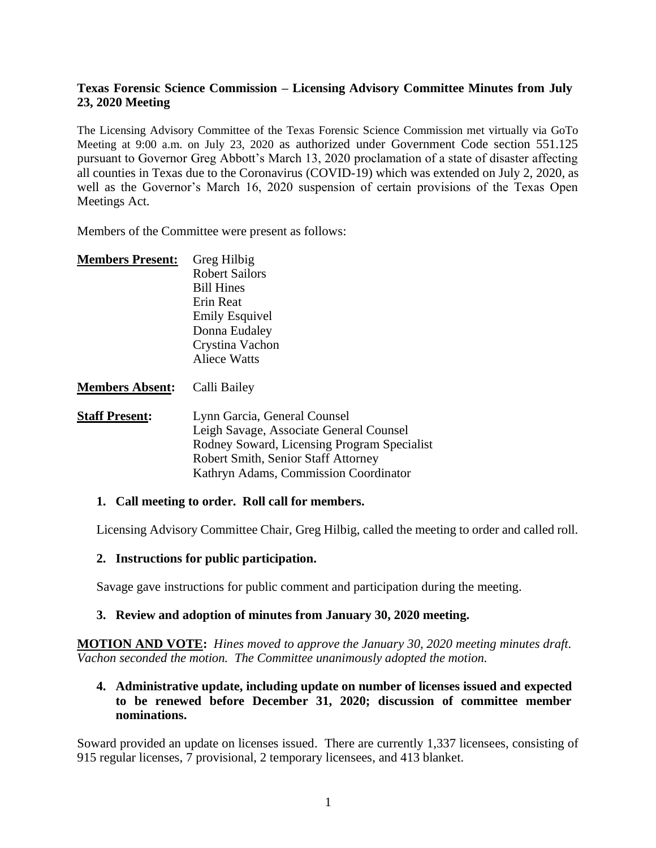# **Texas Forensic Science Commission – Licensing Advisory Committee Minutes from July 23, 2020 Meeting**

The Licensing Advisory Committee of the Texas Forensic Science Commission met virtually via GoTo Meeting at 9:00 a.m. on July 23, 2020 as authorized under Government Code section 551.125 pursuant to Governor Greg Abbott's March 13, 2020 proclamation of a state of disaster affecting all counties in Texas due to the Coronavirus (COVID-19) which was extended on July 2, 2020, as well as the Governor's March 16, 2020 suspension of certain provisions of the Texas Open Meetings Act.

Members of the Committee were present as follows:

| <b>Members Present:</b> | Greg Hilbig                                 |
|-------------------------|---------------------------------------------|
|                         | <b>Robert Sailors</b>                       |
|                         | <b>Bill Hines</b>                           |
|                         | Erin Reat                                   |
|                         | <b>Emily Esquivel</b>                       |
|                         | Donna Eudaley                               |
|                         | Crystina Vachon                             |
|                         | <b>Aliece Watts</b>                         |
| <b>Members Absent:</b>  | Calli Bailey                                |
| <b>Staff Present:</b>   | Lynn Garcia, General Counsel                |
|                         | Leigh Savage, Associate General Counsel     |
|                         | Rodney Soward, Licensing Program Specialist |
|                         | <b>Robert Smith, Senior Staff Attorney</b>  |
|                         | Kathryn Adams, Commission Coordinator       |

#### **1. Call meeting to order. Roll call for members.**

Licensing Advisory Committee Chair, Greg Hilbig, called the meeting to order and called roll.

#### **2. Instructions for public participation.**

Savage gave instructions for public comment and participation during the meeting.

#### **3. Review and adoption of minutes from January 30, 2020 meeting.**

**MOTION AND VOTE:** *Hines moved to approve the January 30, 2020 meeting minutes draft. Vachon seconded the motion. The Committee unanimously adopted the motion.*

#### **4. Administrative update, including update on number of licenses issued and expected to be renewed before December 31, 2020; discussion of committee member nominations.**

Soward provided an update on licenses issued. There are currently 1,337 licensees, consisting of 915 regular licenses, 7 provisional, 2 temporary licensees, and 413 blanket.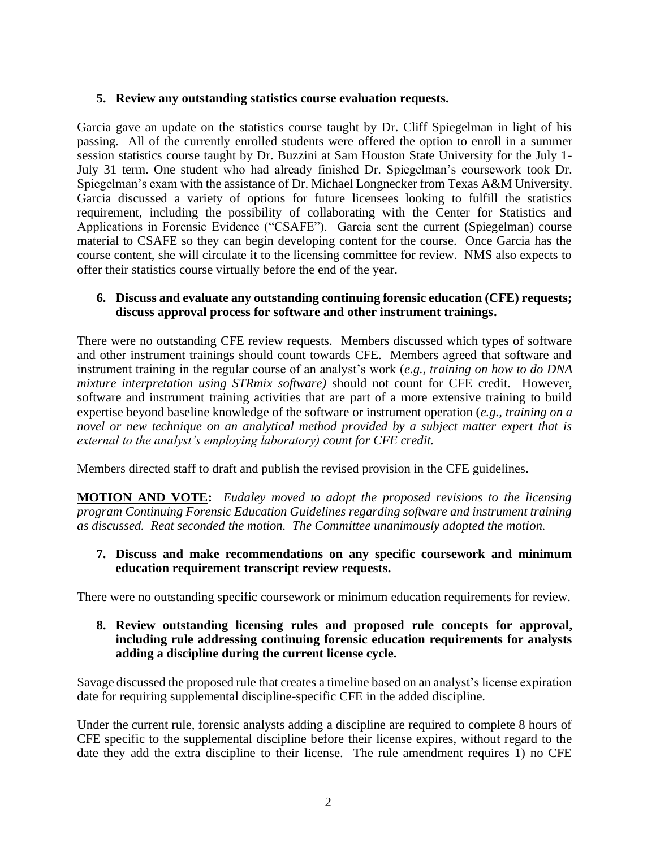# **5. Review any outstanding statistics course evaluation requests.**

Garcia gave an update on the statistics course taught by Dr. Cliff Spiegelman in light of his passing*.* All of the currently enrolled students were offered the option to enroll in a summer session statistics course taught by Dr. Buzzini at Sam Houston State University for the July 1- July 31 term. One student who had already finished Dr. Spiegelman's coursework took Dr. Spiegelman's exam with the assistance of Dr. Michael Longnecker from Texas A&M University. Garcia discussed a variety of options for future licensees looking to fulfill the statistics requirement, including the possibility of collaborating with the Center for Statistics and Applications in Forensic Evidence ("CSAFE"). Garcia sent the current (Spiegelman) course material to CSAFE so they can begin developing content for the course. Once Garcia has the course content, she will circulate it to the licensing committee for review. NMS also expects to offer their statistics course virtually before the end of the year.

# **6. Discuss and evaluate any outstanding continuing forensic education (CFE) requests; discuss approval process for software and other instrument trainings.**

There were no outstanding CFE review requests. Members discussed which types of software and other instrument trainings should count towards CFE. Members agreed that software and instrument training in the regular course of an analyst's work (*e.g., training on how to do DNA mixture interpretation using STRmix software)* should not count for CFE credit. However, software and instrument training activities that are part of a more extensive training to build expertise beyond baseline knowledge of the software or instrument operation (*e.g., training on a novel or new technique on an analytical method provided by a subject matter expert that is external to the analyst's employing laboratory) count for CFE credit.* 

Members directed staff to draft and publish the revised provision in the CFE guidelines.

**MOTION AND VOTE:** *Eudaley moved to adopt the proposed revisions to the licensing program Continuing Forensic Education Guidelines regarding software and instrument training as discussed. Reat seconded the motion. The Committee unanimously adopted the motion.* 

#### **7. Discuss and make recommendations on any specific coursework and minimum education requirement transcript review requests.**

There were no outstanding specific coursework or minimum education requirements for review.

# **8. Review outstanding licensing rules and proposed rule concepts for approval, including rule addressing continuing forensic education requirements for analysts adding a discipline during the current license cycle.**

Savage discussed the proposed rule that creates a timeline based on an analyst's license expiration date for requiring supplemental discipline-specific CFE in the added discipline.

Under the current rule, forensic analysts adding a discipline are required to complete 8 hours of CFE specific to the supplemental discipline before their license expires, without regard to the date they add the extra discipline to their license. The rule amendment requires 1) no CFE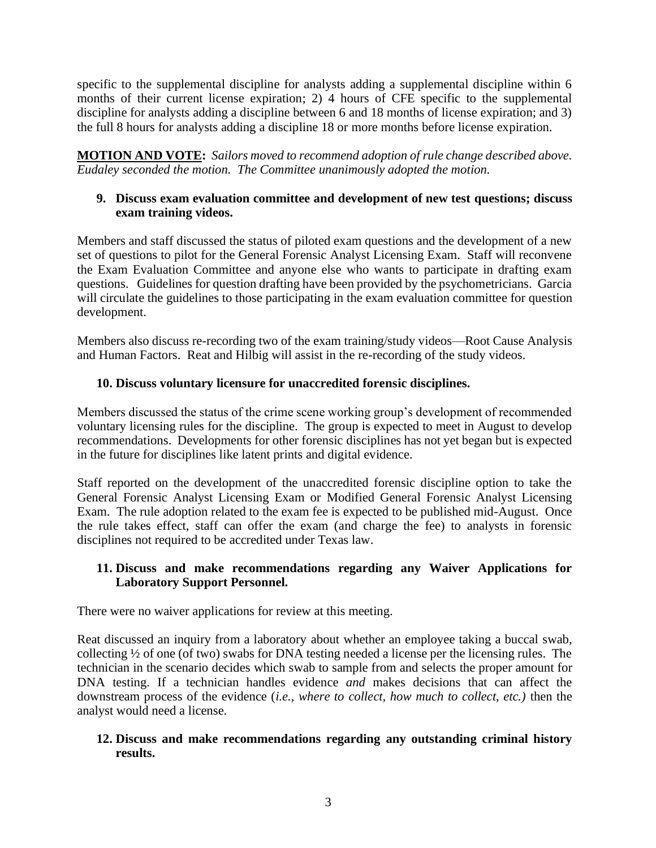specific to the supplemental discipline for analysts adding a supplemental discipline within 6 months of their current license expiration; 2) 4 hours of CFE specific to the supplemental discipline for analysts adding a discipline between 6 and 18 months of license expiration; and 3) the full 8 hours for analysts adding a discipline 18 or more months before license expiration.

**MOTION AND VOTE:** *Sailors moved to recommend adoption of rule change described above. Eudaley seconded the motion. The Committee unanimously adopted the motion.*

# **9. Discuss exam evaluation committee and development of new test questions; discuss exam training videos.**

Members and staff discussed the status of piloted exam questions and the development of a new set of questions to pilot for the General Forensic Analyst Licensing Exam. Staff will reconvene the Exam Evaluation Committee and anyone else who wants to participate in drafting exam questions. Guidelines for question drafting have been provided by the psychometricians. Garcia will circulate the guidelines to those participating in the exam evaluation committee for question development.

Members also discuss re-recording two of the exam training/study videos—Root Cause Analysis and Human Factors. Reat and Hilbig will assist in the re-recording of the study videos.

# **10. Discuss voluntary licensure for unaccredited forensic disciplines.**

Members discussed the status of the crime scene working group's development of recommended voluntary licensing rules for the discipline. The group is expected to meet in August to develop recommendations. Developments for other forensic disciplines has not yet began but is expected in the future for disciplines like latent prints and digital evidence.

Staff reported on the development of the unaccredited forensic discipline option to take the General Forensic Analyst Licensing Exam or Modified General Forensic Analyst Licensing Exam. The rule adoption related to the exam fee is expected to be published mid-August. Once the rule takes effect, staff can offer the exam (and charge the fee) to analysts in forensic disciplines not required to be accredited under Texas law.

# **11. Discuss and make recommendations regarding any Waiver Applications for Laboratory Support Personnel.**

There were no waiver applications for review at this meeting.

Reat discussed an inquiry from a laboratory about whether an employee taking a buccal swab, collecting ½ of one (of two) swabs for DNA testing needed a license per the licensing rules. The technician in the scenario decides which swab to sample from and selects the proper amount for DNA testing. If a technician handles evidence *and* makes decisions that can affect the downstream process of the evidence (*i.e., where to collect, how much to collect, etc.)* then the analyst would need a license.

# **12. Discuss and make recommendations regarding any outstanding criminal history results.**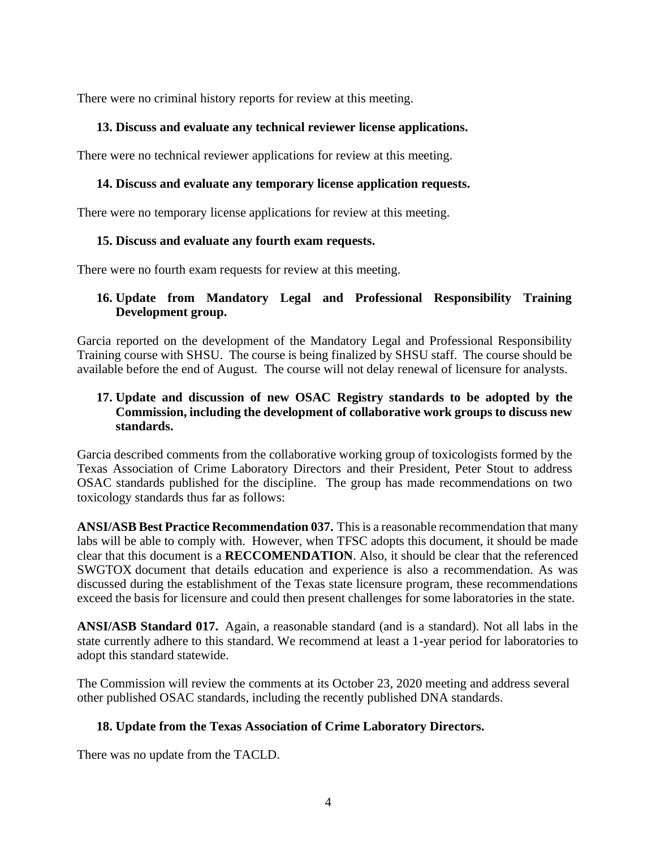There were no criminal history reports for review at this meeting.

# **13. Discuss and evaluate any technical reviewer license applications.**

There were no technical reviewer applications for review at this meeting.

#### **14. Discuss and evaluate any temporary license application requests.**

There were no temporary license applications for review at this meeting.

#### **15. Discuss and evaluate any fourth exam requests.**

There were no fourth exam requests for review at this meeting.

# **16. Update from Mandatory Legal and Professional Responsibility Training Development group.**

Garcia reported on the development of the Mandatory Legal and Professional Responsibility Training course with SHSU. The course is being finalized by SHSU staff. The course should be available before the end of August. The course will not delay renewal of licensure for analysts.

# **17. Update and discussion of new OSAC Registry standards to be adopted by the Commission, including the development of collaborative work groups to discuss new standards.**

Garcia described comments from the collaborative working group of toxicologists formed by the Texas Association of Crime Laboratory Directors and their President, Peter Stout to address OSAC standards published for the discipline. The group has made recommendations on two toxicology standards thus far as follows:

**ANSI/ASB Best Practice Recommendation 037.** This is a reasonable recommendation that many labs will be able to comply with. However, when TFSC adopts this document, it should be made clear that this document is a **RECCOMENDATION**. Also, it should be clear that the referenced SWGTOX document that details education and experience is also a recommendation. As was discussed during the establishment of the Texas state licensure program, these recommendations exceed the basis for licensure and could then present challenges for some laboratories in the state.

**ANSI/ASB Standard 017.** Again, a reasonable standard (and is a standard). Not all labs in the state currently adhere to this standard. We recommend at least a 1-year period for laboratories to adopt this standard statewide.

The Commission will review the comments at its October 23, 2020 meeting and address several other published OSAC standards, including the recently published DNA standards.

#### **18. Update from the Texas Association of Crime Laboratory Directors.**

There was no update from the TACLD.